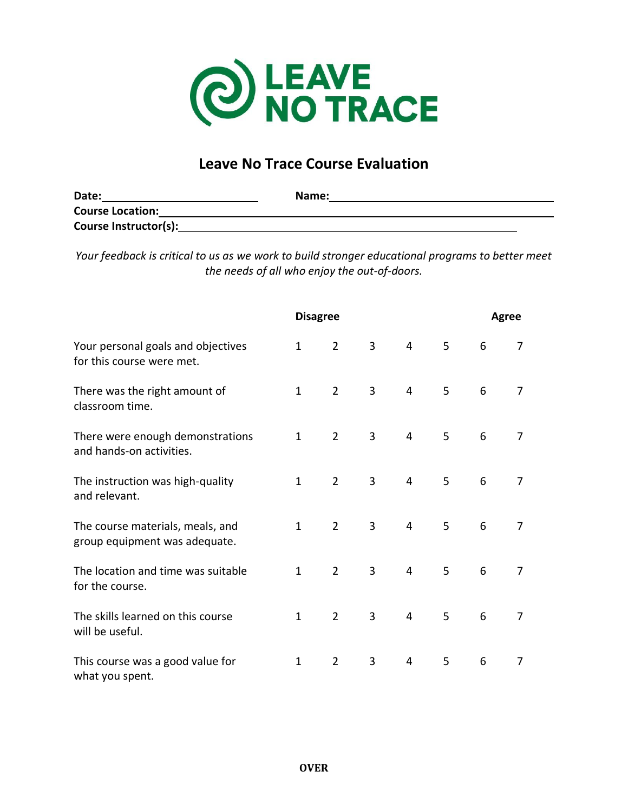

## **Leave No Trace Course Evaluation**

| Date:                   | Name: |  |
|-------------------------|-------|--|
| <b>Course Location:</b> |       |  |
| Course Instructor(s):   |       |  |

*Your feedback is critical to us as we work to build stronger educational programs to better meet the needs of all who enjoy the out-of-doors.*

|                                                                   | <b>Disagree</b> |                |                |                |   | Agree |   |
|-------------------------------------------------------------------|-----------------|----------------|----------------|----------------|---|-------|---|
| Your personal goals and objectives<br>for this course were met.   | $\mathbf{1}$    | $\overline{2}$ | 3              | $\overline{4}$ | 5 | 6     | 7 |
| There was the right amount of<br>classroom time.                  | $\mathbf{1}$    | $\overline{2}$ | 3              | $\overline{4}$ | 5 | 6     | 7 |
| There were enough demonstrations<br>and hands-on activities.      | $\mathbf{1}$    | $\overline{2}$ | 3              | $\overline{4}$ | 5 | 6     | 7 |
| The instruction was high-quality<br>and relevant.                 | $\mathbf{1}$    | $\overline{2}$ | $\overline{3}$ | $\overline{4}$ | 5 | 6     | 7 |
| The course materials, meals, and<br>group equipment was adequate. | $\mathbf{1}$    | $\overline{2}$ | 3              | 4              | 5 | 6     | 7 |
| The location and time was suitable<br>for the course.             | $\mathbf{1}$    | $\overline{2}$ | 3              | $\overline{4}$ | 5 | 6     | 7 |
| The skills learned on this course<br>will be useful.              | $\mathbf{1}$    | $\overline{2}$ | 3              | 4              | 5 | 6     | 7 |
| This course was a good value for<br>what you spent.               | $\mathbf{1}$    | $\overline{2}$ | 3              | $\overline{4}$ | 5 | 6     | 7 |